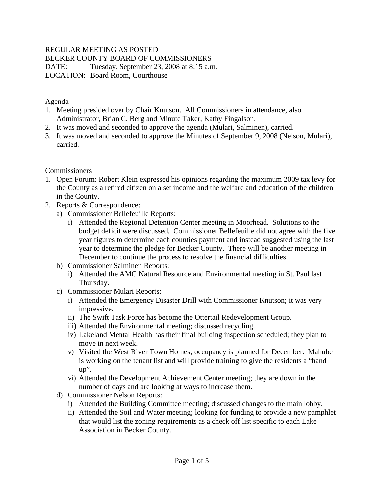## REGULAR MEETING AS POSTED

BECKER COUNTY BOARD OF COMMISSIONERS

DATE: Tuesday, September 23, 2008 at 8:15 a.m. LOCATION: Board Room, Courthouse

Agenda

- 1. Meeting presided over by Chair Knutson. All Commissioners in attendance, also Administrator, Brian C. Berg and Minute Taker, Kathy Fingalson.
- 2. It was moved and seconded to approve the agenda (Mulari, Salminen), carried.
- 3. It was moved and seconded to approve the Minutes of September 9, 2008 (Nelson, Mulari), carried.

**Commissioners** 

- 1. Open Forum: Robert Klein expressed his opinions regarding the maximum 2009 tax levy for the County as a retired citizen on a set income and the welfare and education of the children in the County.
- 2. Reports & Correspondence:
	- a) Commissioner Bellefeuille Reports:
		- i) Attended the Regional Detention Center meeting in Moorhead. Solutions to the budget deficit were discussed. Commissioner Bellefeuille did not agree with the five year figures to determine each counties payment and instead suggested using the last year to determine the pledge for Becker County. There will be another meeting in December to continue the process to resolve the financial difficulties.
	- b) Commissioner Salminen Reports:
		- i) Attended the AMC Natural Resource and Environmental meeting in St. Paul last Thursday.
	- c) Commissioner Mulari Reports:
		- i) Attended the Emergency Disaster Drill with Commissioner Knutson; it was very impressive.
		- ii) The Swift Task Force has become the Ottertail Redevelopment Group.
		- iii) Attended the Environmental meeting; discussed recycling.
		- iv) Lakeland Mental Health has their final building inspection scheduled; they plan to move in next week.
		- v) Visited the West River Town Homes; occupancy is planned for December. Mahube is working on the tenant list and will provide training to give the residents a "hand up".
		- vi) Attended the Development Achievement Center meeting; they are down in the number of days and are looking at ways to increase them.
	- d) Commissioner Nelson Reports:
		- i) Attended the Building Committee meeting; discussed changes to the main lobby.
		- ii) Attended the Soil and Water meeting; looking for funding to provide a new pamphlet that would list the zoning requirements as a check off list specific to each Lake Association in Becker County.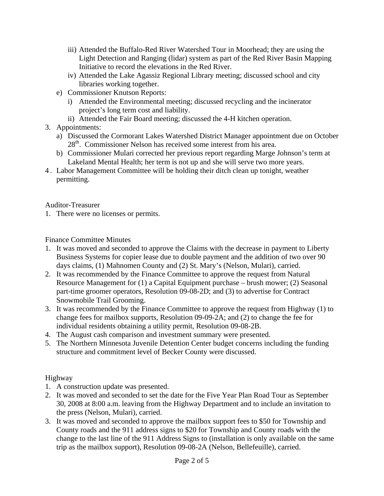- iii) Attended the Buffalo-Red River Watershed Tour in Moorhead; they are using the Light Detection and Ranging (lidar) system as part of the Red River Basin Mapping Initiative to record the elevations in the Red River.
- iv) Attended the Lake Agassiz Regional Library meeting; discussed school and city libraries working together.
- e) Commissioner Knutson Reports:
	- i) Attended the Environmental meeting; discussed recycling and the incinerator project's long term cost and liability.
	- ii) Attended the Fair Board meeting; discussed the 4-H kitchen operation.
- 3. Appointments:
	- a) Discussed the Cormorant Lakes Watershed District Manager appointment due on October 28<sup>th</sup>. Commissioner Nelson has received some interest from his area.
	- b) Commissioner Mulari corrected her previous report regarding Marge Johnson's term at Lakeland Mental Health; her term is not up and she will serve two more years.
- 4 . Labor Management Committee will be holding their ditch clean up tonight, weather permitting.

Auditor-Treasurer

1. There were no licenses or permits.

# Finance Committee Minutes

- 1. It was moved and seconded to approve the Claims with the decrease in payment to Liberty Business Systems for copier lease due to double payment and the addition of two over 90 days claims, (1) Mahnomen County and (2) St. Mary's (Nelson, Mulari), carried.
- 2. It was recommended by the Finance Committee to approve the request from Natural Resource Management for (1) a Capital Equipment purchase – brush mower; (2) Seasonal part-time groomer operators, Resolution 09-08-2D; and (3) to advertise for Contract Snowmobile Trail Grooming.
- 3. It was recommended by the Finance Committee to approve the request from Highway (1) to change fees for mailbox supports, Resolution 09-09-2A; and (2) to change the fee for individual residents obtaining a utility permit, Resolution 09-08-2B.
- 4. The August cash comparison and investment summary were presented.
- 5. The Northern Minnesota Juvenile Detention Center budget concerns including the funding structure and commitment level of Becker County were discussed.

# Highway

- 1. A construction update was presented.
- 2. It was moved and seconded to set the date for the Five Year Plan Road Tour as September 30, 2008 at 8:00 a.m. leaving from the Highway Department and to include an invitation to the press (Nelson, Mulari), carried.
- 3. It was moved and seconded to approve the mailbox support fees to \$50 for Township and County roads and the 911 address signs to \$20 for Township and County roads with the change to the last line of the 911 Address Signs to (installation is only available on the same trip as the mailbox support), Resolution 09-08-2A (Nelson, Bellefeuille), carried.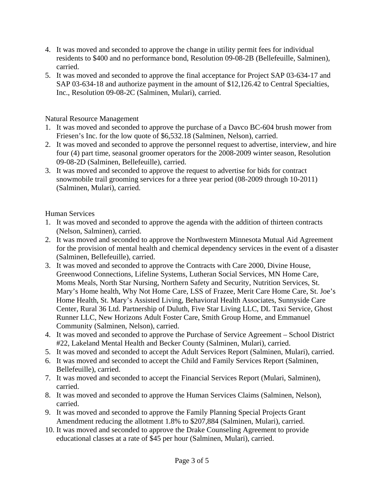- 4. It was moved and seconded to approve the change in utility permit fees for individual residents to \$400 and no performance bond, Resolution 09-08-2B (Bellefeuille, Salminen), carried.
- 5. It was moved and seconded to approve the final acceptance for Project SAP 03-634-17 and SAP 03-634-18 and authorize payment in the amount of \$12,126.42 to Central Specialties, Inc., Resolution 09-08-2C (Salminen, Mulari), carried.

Natural Resource Management

- 1. It was moved and seconded to approve the purchase of a Davco BC-604 brush mower from Friesen's Inc. for the low quote of \$6,532.18 (Salminen, Nelson), carried.
- 2. It was moved and seconded to approve the personnel request to advertise, interview, and hire four (4) part time, seasonal groomer operators for the 2008-2009 winter season, Resolution 09-08-2D (Salminen, Bellefeuille), carried.
- 3. It was moved and seconded to approve the request to advertise for bids for contract snowmobile trail grooming services for a three year period (08-2009 through 10-2011) (Salminen, Mulari), carried.

Human Services

- 1. It was moved and seconded to approve the agenda with the addition of thirteen contracts (Nelson, Salminen), carried.
- 2. It was moved and seconded to approve the Northwestern Minnesota Mutual Aid Agreement for the provision of mental health and chemical dependency services in the event of a disaster (Salminen, Bellefeuille), carried.
- 3. It was moved and seconded to approve the Contracts with Care 2000, Divine House, Greenwood Connections, Lifeline Systems, Lutheran Social Services, MN Home Care, Moms Meals, North Star Nursing, Northern Safety and Security, Nutrition Services, St. Mary's Home health, Why Not Home Care, LSS of Frazee, Merit Care Home Care, St. Joe's Home Health, St. Mary's Assisted Living, Behavioral Health Associates, Sunnyside Care Center, Rural 36 Ltd. Partnership of Duluth, Five Star Living LLC, DL Taxi Service, Ghost Runner LLC, New Horizons Adult Foster Care, Smith Group Home, and Emmanuel Community (Salminen, Nelson), carried.
- 4. It was moved and seconded to approve the Purchase of Service Agreement School District #22, Lakeland Mental Health and Becker County (Salminen, Mulari), carried.
- 5. It was moved and seconded to accept the Adult Services Report (Salminen, Mulari), carried.
- 6. It was moved and seconded to accept the Child and Family Services Report (Salminen, Bellefeuille), carried.
- 7. It was moved and seconded to accept the Financial Services Report (Mulari, Salminen), carried.
- 8. It was moved and seconded to approve the Human Services Claims (Salminen, Nelson), carried.
- 9. It was moved and seconded to approve the Family Planning Special Projects Grant Amendment reducing the allotment 1.8% to \$207,884 (Salminen, Mulari), carried.
- 10. It was moved and seconded to approve the Drake Counseling Agreement to provide educational classes at a rate of \$45 per hour (Salminen, Mulari), carried.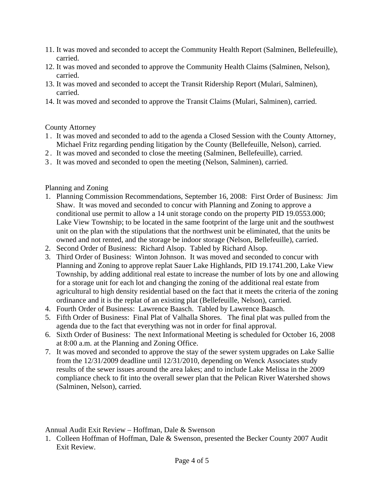- 11. It was moved and seconded to accept the Community Health Report (Salminen, Bellefeuille), carried.
- 12. It was moved and seconded to approve the Community Health Claims (Salminen, Nelson), carried.
- 13. It was moved and seconded to accept the Transit Ridership Report (Mulari, Salminen), carried.
- 14. It was moved and seconded to approve the Transit Claims (Mulari, Salminen), carried.

#### County Attorney

- 1 . It was moved and seconded to add to the agenda a Closed Session with the County Attorney, Michael Fritz regarding pending litigation by the County (Bellefeuille, Nelson), carried.
- 2 . It was moved and seconded to close the meeting (Salminen, Bellefeuille), carried.
- 3 . It was moved and seconded to open the meeting (Nelson, Salminen), carried.

## Planning and Zoning

- 1. Planning Commission Recommendations, September 16, 2008: First Order of Business: Jim Shaw. It was moved and seconded to concur with Planning and Zoning to approve a conditional use permit to allow a 14 unit storage condo on the property PID 19.0553.000; Lake View Township; to be located in the same footprint of the large unit and the southwest unit on the plan with the stipulations that the northwest unit be eliminated, that the units be owned and not rented, and the storage be indoor storage (Nelson, Bellefeuille), carried.
- 2. Second Order of Business: Richard Alsop. Tabled by Richard Alsop.
- 3. Third Order of Business: Winton Johnson. It was moved and seconded to concur with Planning and Zoning to approve replat Sauer Lake Highlands, PID 19.1741.200, Lake View Township, by adding additional real estate to increase the number of lots by one and allowing for a storage unit for each lot and changing the zoning of the additional real estate from agricultural to high density residential based on the fact that it meets the criteria of the zoning ordinance and it is the replat of an existing plat (Bellefeuille, Nelson), carried.
- 4. Fourth Order of Business: Lawrence Baasch. Tabled by Lawrence Baasch.
- 5. Fifth Order of Business: Final Plat of Valhalla Shores. The final plat was pulled from the agenda due to the fact that everything was not in order for final approval.
- 6. Sixth Order of Business: The next Informational Meeting is scheduled for October 16, 2008 at 8:00 a.m. at the Planning and Zoning Office.
- 7. It was moved and seconded to approve the stay of the sewer system upgrades on Lake Sallie from the 12/31/2009 deadline until 12/31/2010, depending on Wenck Associates study results of the sewer issues around the area lakes; and to include Lake Melissa in the 2009 compliance check to fit into the overall sewer plan that the Pelican River Watershed shows (Salminen, Nelson), carried.

Annual Audit Exit Review – Hoffman, Dale & Swenson

1. Colleen Hoffman of Hoffman, Dale & Swenson, presented the Becker County 2007 Audit Exit Review.